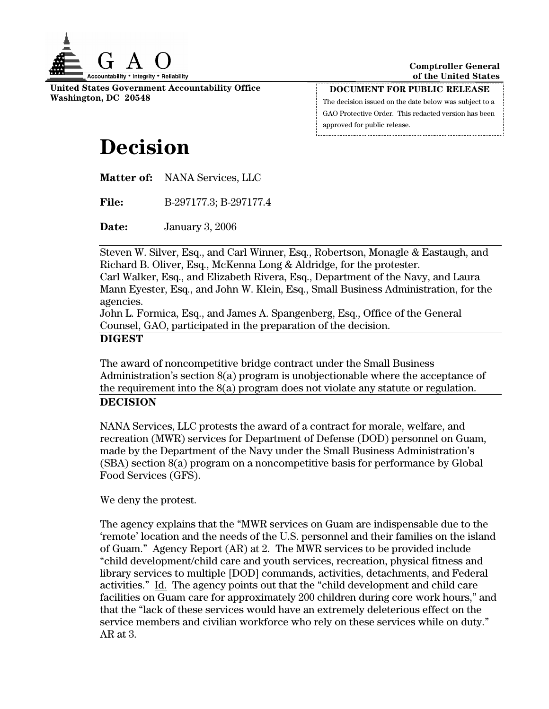

**United States Government Accountability Office Washington, DC 20548** 

**DOCUMENT FOR PUBLIC RELEASE** The decision issued on the date below was subject to a GAO Protective Order. This redacted version has been

approved for public release.

## **Decision**

**Matter of:** NANA Services, LLC

**File:** B-297177.3; B-297177.4

**Date:** January 3, 2006

Steven W. Silver, Esq., and Carl Winner, Esq., Robertson, Monagle & Eastaugh, and Richard B. Oliver, Esq., McKenna Long & Aldridge, for the protester.

Carl Walker, Esq., and Elizabeth Rivera, Esq., Department of the Navy, and Laura Mann Eyester, Esq., and John W. Klein, Esq., Small Business Administration, for the agencies.

John L. Formica, Esq., and James A. Spangenberg, Esq., Office of the General Counsel, GAO, participated in the preparation of the decision.

## **DIGEST**

The award of noncompetitive bridge contract under the Small Business Administration's section 8(a) program is unobjectionable where the acceptance of the requirement into the 8(a) program does not violate any statute or regulation. **DECISION** 

NANA Services, LLC protests the award of a contract for morale, welfare, and recreation (MWR) services for Department of Defense (DOD) personnel on Guam, made by the Department of the Navy under the Small Business Administration's (SBA) section 8(a) program on a noncompetitive basis for performance by Global Food Services (GFS).

We deny the protest.

The agency explains that the "MWR services on Guam are indispensable due to the 'remote' location and the needs of the U.S. personnel and their families on the island of Guam." Agency Report (AR) at 2. The MWR services to be provided include "child development/child care and youth services, recreation, physical fitness and library services to multiple [DOD] commands, activities, detachments, and Federal activities." Id. The agency points out that the "child development and child care facilities on Guam care for approximately 200 children during core work hours," and that the "lack of these services would have an extremely deleterious effect on the service members and civilian workforce who rely on these services while on duty." AR at 3.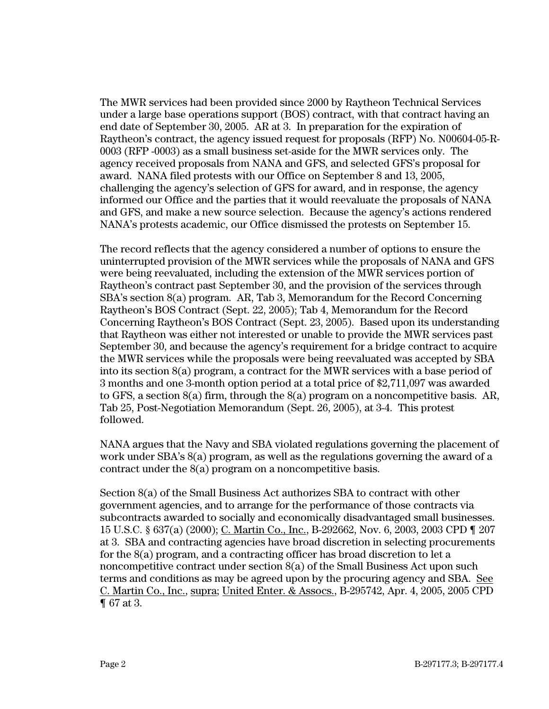The MWR services had been provided since 2000 by Raytheon Technical Services under a large base operations support (BOS) contract, with that contract having an end date of September 30, 2005. AR at 3. In preparation for the expiration of Raytheon's contract, the agency issued request for proposals (RFP) No. N00604-05-R-0003 (RFP -0003) as a small business set-aside for the MWR services only. The agency received proposals from NANA and GFS, and selected GFS's proposal for award. NANA filed protests with our Office on September 8 and 13, 2005, challenging the agency's selection of GFS for award, and in response, the agency informed our Office and the parties that it would reevaluate the proposals of NANA and GFS, and make a new source selection. Because the agency's actions rendered NANA's protests academic, our Office dismissed the protests on September 15.

The record reflects that the agency considered a number of options to ensure the uninterrupted provision of the MWR services while the proposals of NANA and GFS were being reevaluated, including the extension of the MWR services portion of Raytheon's contract past September 30, and the provision of the services through SBA's section 8(a) program. AR, Tab 3, Memorandum for the Record Concerning Raytheon's BOS Contract (Sept. 22, 2005); Tab 4, Memorandum for the Record Concerning Raytheon's BOS Contract (Sept. 23, 2005). Based upon its understanding that Raytheon was either not interested or unable to provide the MWR services past September 30, and because the agency's requirement for a bridge contract to acquire the MWR services while the proposals were being reevaluated was accepted by SBA into its section 8(a) program, a contract for the MWR services with a base period of 3 months and one 3-month option period at a total price of \$2,711,097 was awarded to GFS, a section 8(a) firm, through the 8(a) program on a noncompetitive basis. AR, Tab 25, Post-Negotiation Memorandum (Sept. 26, 2005), at 3-4. This protest followed.

NANA argues that the Navy and SBA violated regulations governing the placement of work under SBA's 8(a) program, as well as the regulations governing the award of a contract under the 8(a) program on a noncompetitive basis.

Section 8(a) of the Small Business Act authorizes SBA to contract with other government agencies, and to arrange for the performance of those contracts via subcontracts awarded to socially and economically disadvantaged small businesses. 15 U.S.C. § 637(a) (2000); C. Martin Co., Inc., B-292662, Nov. 6, 2003, 2003 CPD ¶ 207 at 3. SBA and contracting agencies have broad discretion in selecting procurements for the 8(a) program, and a contracting officer has broad discretion to let a noncompetitive contract under section 8(a) of the Small Business Act upon such terms and conditions as may be agreed upon by the procuring agency and SBA. See C. Martin Co., Inc., supra; United Enter. & Assocs., B-295742, Apr. 4, 2005, 2005 CPD ¶ 67 at 3.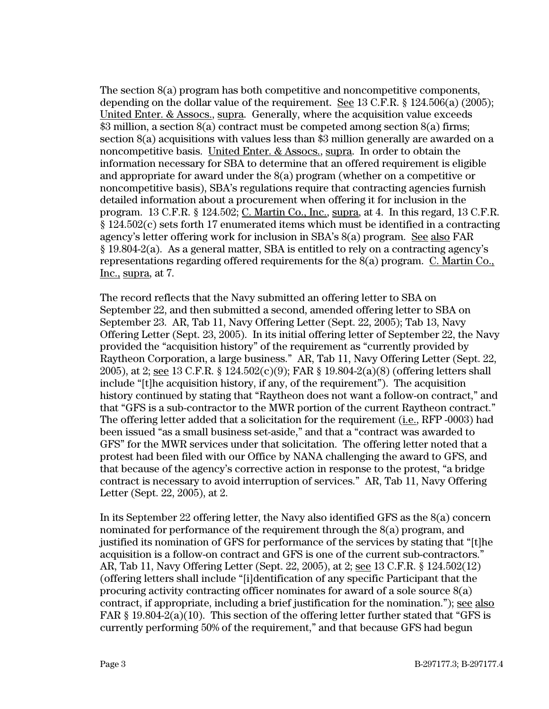The section 8(a) program has both competitive and noncompetitive components, depending on the dollar value of the requirement. See 13 C.F.R. § 124.506(a) (2005); United Enter. & Assocs., supra. Generally, where the acquisition value exceeds \$3 million, a section 8(a) contract must be competed among section 8(a) firms; section 8(a) acquisitions with values less than \$3 million generally are awarded on a noncompetitive basis. United Enter. & Assocs., supra. In order to obtain the information necessary for SBA to determine that an offered requirement is eligible and appropriate for award under the 8(a) program (whether on a competitive or noncompetitive basis), SBA's regulations require that contracting agencies furnish detailed information about a procurement when offering it for inclusion in the program. 13 C.F.R. § 124.502; C. Martin Co., Inc., supra, at 4. In this regard, 13 C.F.R. § 124.502(c) sets forth 17 enumerated items which must be identified in a contracting agency's letter offering work for inclusion in SBA's 8(a) program. See also FAR § 19.804-2(a). As a general matter, SBA is entitled to rely on a contracting agency's representations regarding offered requirements for the 8(a) program. C. Martin Co., Inc., supra, at 7.

The record reflects that the Navy submitted an offering letter to SBA on September 22, and then submitted a second, amended offering letter to SBA on September 23. AR, Tab 11, Navy Offering Letter (Sept. 22, 2005); Tab 13, Navy Offering Letter (Sept. 23, 2005). In its initial offering letter of September 22, the Navy provided the "acquisition history" of the requirement as "currently provided by Raytheon Corporation, a large business." AR, Tab 11, Navy Offering Letter (Sept. 22, 2005), at 2; see 13 C.F.R. § 124.502(c)(9); FAR § 19.804-2(a)(8) (offering letters shall include "[t]he acquisition history, if any, of the requirement"). The acquisition history continued by stating that "Raytheon does not want a follow-on contract," and that "GFS is a sub-contractor to the MWR portion of the current Raytheon contract." The offering letter added that a solicitation for the requirement (i.e., RFP -0003) had been issued "as a small business set-aside," and that a "contract was awarded to GFS" for the MWR services under that solicitation. The offering letter noted that a protest had been filed with our Office by NANA challenging the award to GFS, and that because of the agency's corrective action in response to the protest, "a bridge contract is necessary to avoid interruption of services." AR, Tab 11, Navy Offering Letter (Sept. 22, 2005), at 2.

In its September 22 offering letter, the Navy also identified GFS as the 8(a) concern nominated for performance of the requirement through the 8(a) program, and justified its nomination of GFS for performance of the services by stating that "[t]he acquisition is a follow-on contract and GFS is one of the current sub-contractors." AR, Tab 11, Navy Offering Letter (Sept. 22, 2005), at 2; see 13 C.F.R. § 124.502(12) (offering letters shall include "[i]dentification of any specific Participant that the procuring activity contracting officer nominates for award of a sole source 8(a) contract, if appropriate, including a brief justification for the nomination."); see also FAR  $\S$  19.804-2(a)(10). This section of the offering letter further stated that "GFS is currently performing 50% of the requirement," and that because GFS had begun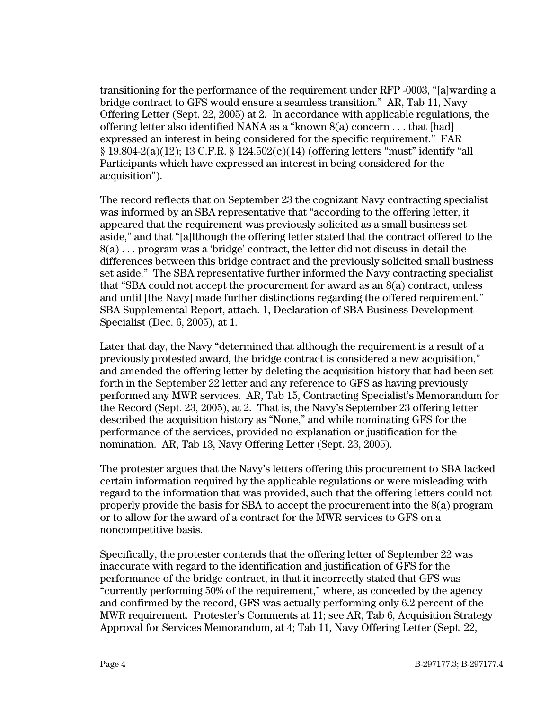transitioning for the performance of the requirement under RFP -0003, "[a]warding a bridge contract to GFS would ensure a seamless transition." AR, Tab 11, Navy Offering Letter (Sept. 22, 2005) at 2. In accordance with applicable regulations, the offering letter also identified NANA as a "known  $8(a)$  concern . . . that [had] expressed an interest in being considered for the specific requirement." FAR  $§ 19.804-2(a)(12); 13 C.F.R. § 124.502(c)(14) (offering letters "must" identify "all"$ Participants which have expressed an interest in being considered for the acquisition").

The record reflects that on September 23 the cognizant Navy contracting specialist was informed by an SBA representative that "according to the offering letter, it appeared that the requirement was previously solicited as a small business set aside," and that "[a]lthough the offering letter stated that the contract offered to the 8(a) . . . program was a 'bridge' contract, the letter did not discuss in detail the differences between this bridge contract and the previously solicited small business set aside." The SBA representative further informed the Navy contracting specialist that "SBA could not accept the procurement for award as an 8(a) contract, unless and until [the Navy] made further distinctions regarding the offered requirement." SBA Supplemental Report, attach. 1, Declaration of SBA Business Development Specialist (Dec. 6, 2005), at 1.

Later that day, the Navy "determined that although the requirement is a result of a previously protested award, the bridge contract is considered a new acquisition," and amended the offering letter by deleting the acquisition history that had been set forth in the September 22 letter and any reference to GFS as having previously performed any MWR services. AR, Tab 15, Contracting Specialist's Memorandum for the Record (Sept. 23, 2005), at 2. That is, the Navy's September 23 offering letter described the acquisition history as "None," and while nominating GFS for the performance of the services, provided no explanation or justification for the nomination. AR, Tab 13, Navy Offering Letter (Sept. 23, 2005).

The protester argues that the Navy's letters offering this procurement to SBA lacked certain information required by the applicable regulations or were misleading with regard to the information that was provided, such that the offering letters could not properly provide the basis for SBA to accept the procurement into the 8(a) program or to allow for the award of a contract for the MWR services to GFS on a noncompetitive basis.

Specifically, the protester contends that the offering letter of September 22 was inaccurate with regard to the identification and justification of GFS for the performance of the bridge contract, in that it incorrectly stated that GFS was "currently performing 50% of the requirement," where, as conceded by the agency and confirmed by the record, GFS was actually performing only 6.2 percent of the MWR requirement. Protester's Comments at 11; see AR, Tab 6, Acquisition Strategy Approval for Services Memorandum, at 4; Tab 11, Navy Offering Letter (Sept. 22,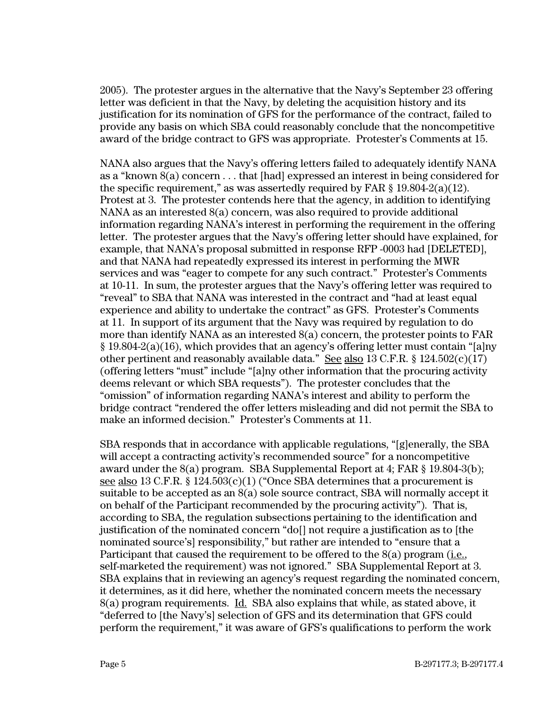2005). The protester argues in the alternative that the Navy's September 23 offering letter was deficient in that the Navy, by deleting the acquisition history and its justification for its nomination of GFS for the performance of the contract, failed to provide any basis on which SBA could reasonably conclude that the noncompetitive award of the bridge contract to GFS was appropriate. Protester's Comments at 15.

NANA also argues that the Navy's offering letters failed to adequately identify NANA as a "known 8(a) concern . . . that [had] expressed an interest in being considered for the specific requirement," as was assertedly required by FAR  $\S$  19.804-2(a)(12). Protest at 3. The protester contends here that the agency, in addition to identifying NANA as an interested 8(a) concern, was also required to provide additional information regarding NANA's interest in performing the requirement in the offering letter. The protester argues that the Navy's offering letter should have explained, for example, that NANA's proposal submitted in response RFP -0003 had [DELETED], and that NANA had repeatedly expressed its interest in performing the MWR services and was "eager to compete for any such contract." Protester's Comments at 10-11. In sum, the protester argues that the Navy's offering letter was required to "reveal" to SBA that NANA was interested in the contract and "had at least equal experience and ability to undertake the contract" as GFS. Protester's Comments at 11. In support of its argument that the Navy was required by regulation to do more than identify NANA as an interested 8(a) concern, the protester points to FAR § 19.804-2(a)(16), which provides that an agency's offering letter must contain "[a]ny other pertinent and reasonably available data." See also 13 C.F.R. § 124.502(c)(17) (offering letters "must" include "[a]ny other information that the procuring activity deems relevant or which SBA requests"). The protester concludes that the "omission" of information regarding NANA's interest and ability to perform the bridge contract "rendered the offer letters misleading and did not permit the SBA to make an informed decision." Protester's Comments at 11.

SBA responds that in accordance with applicable regulations, "[g]enerally, the SBA will accept a contracting activity's recommended source" for a noncompetitive award under the 8(a) program. SBA Supplemental Report at 4; FAR § 19.804-3(b); see also 13 C.F.R. § 124.503 $(c)(1)$  ("Once SBA determines that a procurement is suitable to be accepted as an 8(a) sole source contract, SBA will normally accept it on behalf of the Participant recommended by the procuring activity"). That is, according to SBA, the regulation subsections pertaining to the identification and justification of the nominated concern "do[] not require a justification as to [the nominated source's] responsibility," but rather are intended to "ensure that a Participant that caused the requirement to be offered to the 8(a) program (i.e., self-marketed the requirement) was not ignored." SBA Supplemental Report at 3. SBA explains that in reviewing an agency's request regarding the nominated concern, it determines, as it did here, whether the nominated concern meets the necessary 8(a) program requirements. Id. SBA also explains that while, as stated above, it "deferred to [the Navy's] selection of GFS and its determination that GFS could perform the requirement," it was aware of GFS's qualifications to perform the work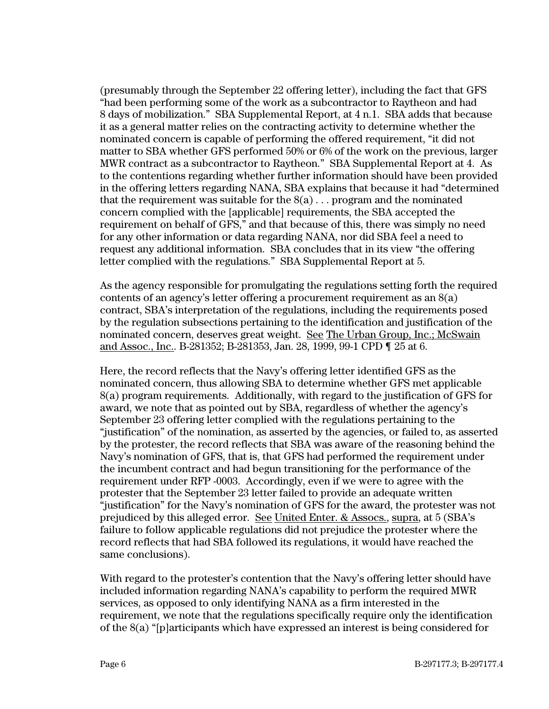(presumably through the September 22 offering letter), including the fact that GFS "had been performing some of the work as a subcontractor to Raytheon and had 8 days of mobilization." SBA Supplemental Report, at 4 n.1. SBA adds that because it as a general matter relies on the contracting activity to determine whether the nominated concern is capable of performing the offered requirement, "it did not matter to SBA whether GFS performed 50% or 6% of the work on the previous, larger MWR contract as a subcontractor to Raytheon." SBA Supplemental Report at 4. As to the contentions regarding whether further information should have been provided in the offering letters regarding NANA, SBA explains that because it had "determined that the requirement was suitable for the  $8(a) \dots$  program and the nominated concern complied with the [applicable] requirements, the SBA accepted the requirement on behalf of GFS," and that because of this, there was simply no need for any other information or data regarding NANA, nor did SBA feel a need to request any additional information. SBA concludes that in its view "the offering letter complied with the regulations." SBA Supplemental Report at 5.

As the agency responsible for promulgating the regulations setting forth the required contents of an agency's letter offering a procurement requirement as an 8(a) contract, SBA's interpretation of the regulations, including the requirements posed by the regulation subsections pertaining to the identification and justification of the nominated concern, deserves great weight. See The Urban Group, Inc.; McSwain and Assoc., Inc.. B-281352; B-281353, Jan. 28, 1999, 99-1 CPD ¶ 25 at 6.

Here, the record reflects that the Navy's offering letter identified GFS as the nominated concern, thus allowing SBA to determine whether GFS met applicable 8(a) program requirements. Additionally, with regard to the justification of GFS for award, we note that as pointed out by SBA, regardless of whether the agency's September 23 offering letter complied with the regulations pertaining to the "justification" of the nomination, as asserted by the agencies, or failed to, as asserted by the protester, the record reflects that SBA was aware of the reasoning behind the Navy's nomination of GFS, that is, that GFS had performed the requirement under the incumbent contract and had begun transitioning for the performance of the requirement under RFP -0003. Accordingly, even if we were to agree with the protester that the September 23 letter failed to provide an adequate written "justification" for the Navy's nomination of GFS for the award, the protester was not prejudiced by this alleged error. See United Enter. & Assocs., supra, at 5 (SBA's failure to follow applicable regulations did not prejudice the protester where the record reflects that had SBA followed its regulations, it would have reached the same conclusions).

With regard to the protester's contention that the Navy's offering letter should have included information regarding NANA's capability to perform the required MWR services, as opposed to only identifying NANA as a firm interested in the requirement, we note that the regulations specifically require only the identification of the 8(a) "[p]articipants which have expressed an interest is being considered for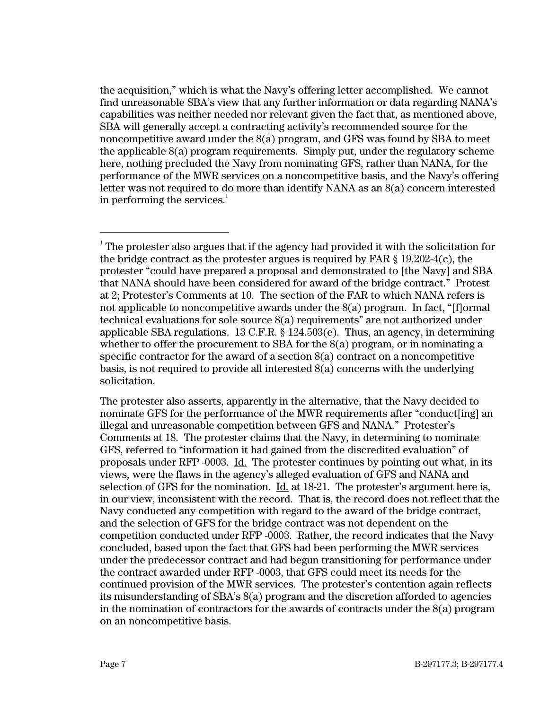the acquisition," which is what the Navy's offering letter accomplished. We cannot find unreasonable SBA's view that any further information or data regarding NANA's capabilities was neither needed nor relevant given the fact that, as mentioned above, SBA will generally accept a contracting activity's recommended source for the noncompetitive award under the  $S(a)$  program, and GFS was found by SBA to meet the applicable 8(a) program requirements. Simply put, under the regulatory scheme here, nothing precluded the Navy from nominating GFS, rather than NANA, for the performance of the MWR services on a noncompetitive basis, and the Navy's offering letter was not required to do more than identify NANA as an 8(a) concern interested in performing the services. $^{\mathrm{l}}$ 

 $\frac{1}{1}$  $1$ <sup>1</sup> The protester also argues that if the agency had provided it with the solicitation for the bridge contract as the protester argues is required by FAR  $\S$  19.202-4(c), the protester "could have prepared a proposal and demonstrated to [the Navy] and SBA that NANA should have been considered for award of the bridge contract." Protest at 2; Protester's Comments at 10. The section of the FAR to which NANA refers is not applicable to noncompetitive awards under the 8(a) program. In fact, "[f]ormal technical evaluations for sole source 8(a) requirements" are not authorized under applicable SBA regulations. 13 C.F.R. § 124.503(e). Thus, an agency, in determining whether to offer the procurement to SBA for the 8(a) program, or in nominating a specific contractor for the award of a section 8(a) contract on a noncompetitive basis, is not required to provide all interested 8(a) concerns with the underlying solicitation.

The protester also asserts, apparently in the alternative, that the Navy decided to nominate GFS for the performance of the MWR requirements after "conduct[ing] an illegal and unreasonable competition between GFS and NANA." Protester's Comments at 18. The protester claims that the Navy, in determining to nominate GFS, referred to "information it had gained from the discredited evaluation" of proposals under RFP -0003. Id. The protester continues by pointing out what, in its views, were the flaws in the agency's alleged evaluation of GFS and NANA and selection of GFS for the nomination.  $\underline{Id}$  at 18-21. The protester's argument here is, in our view, inconsistent with the record. That is, the record does not reflect that the Navy conducted any competition with regard to the award of the bridge contract, and the selection of GFS for the bridge contract was not dependent on the competition conducted under RFP -0003. Rather, the record indicates that the Navy concluded, based upon the fact that GFS had been performing the MWR services under the predecessor contract and had begun transitioning for performance under the contract awarded under RFP -0003, that GFS could meet its needs for the continued provision of the MWR services. The protester's contention again reflects its misunderstanding of SBA's 8(a) program and the discretion afforded to agencies in the nomination of contractors for the awards of contracts under the 8(a) program on an noncompetitive basis.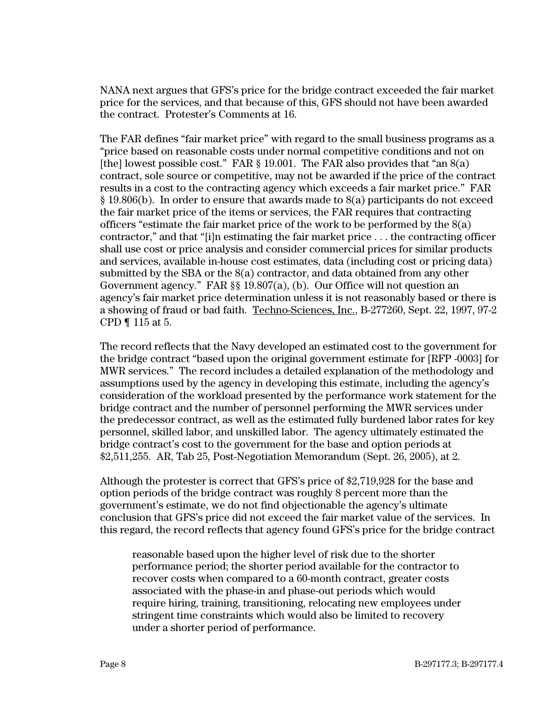NANA next argues that GFS's price for the bridge contract exceeded the fair market price for the services, and that because of this, GFS should not have been awarded the contract. Protester's Comments at 16.

The FAR defines "fair market price" with regard to the small business programs as a "price based on reasonable costs under normal competitive conditions and not on [the] lowest possible cost." FAR  $\S$  19.001. The FAR also provides that "an  $S(a)$ " contract, sole source or competitive, may not be awarded if the price of the contract results in a cost to the contracting agency which exceeds a fair market price." FAR § 19.806(b). In order to ensure that awards made to 8(a) participants do not exceed the fair market price of the items or services, the FAR requires that contracting officers "estimate the fair market price of the work to be performed by the  $8(a)$ contractor," and that "[i]n estimating the fair market price . . . the contracting officer shall use cost or price analysis and consider commercial prices for similar products and services, available in-house cost estimates, data (including cost or pricing data) submitted by the SBA or the  $(8a)$  contractor, and data obtained from any other Government agency." FAR §§ 19.807(a), (b). Our Office will not question an agency's fair market price determination unless it is not reasonably based or there is a showing of fraud or bad faith. Techno-Sciences, Inc., B-277260, Sept. 22, 1997, 97-2 CPD ¶ 115 at 5.

The record reflects that the Navy developed an estimated cost to the government for the bridge contract "based upon the original government estimate for [RFP -0003] for MWR services." The record includes a detailed explanation of the methodology and assumptions used by the agency in developing this estimate, including the agency's consideration of the workload presented by the performance work statement for the bridge contract and the number of personnel performing the MWR services under the predecessor contract, as well as the estimated fully burdened labor rates for key personnel, skilled labor, and unskilled labor. The agency ultimately estimated the bridge contract's cost to the government for the base and option periods at \$2,511,255. AR, Tab 25, Post-Negotiation Memorandum (Sept. 26, 2005), at 2.

Although the protester is correct that GFS's price of \$2,719,928 for the base and option periods of the bridge contract was roughly 8 percent more than the government's estimate, we do not find objectionable the agency's ultimate conclusion that GFS's price did not exceed the fair market value of the services. In this regard, the record reflects that agency found GFS's price for the bridge contract

reasonable based upon the higher level of risk due to the shorter performance period; the shorter period available for the contractor to recover costs when compared to a 60-month contract, greater costs associated with the phase-in and phase-out periods which would require hiring, training, transitioning, relocating new employees under stringent time constraints which would also be limited to recovery under a shorter period of performance.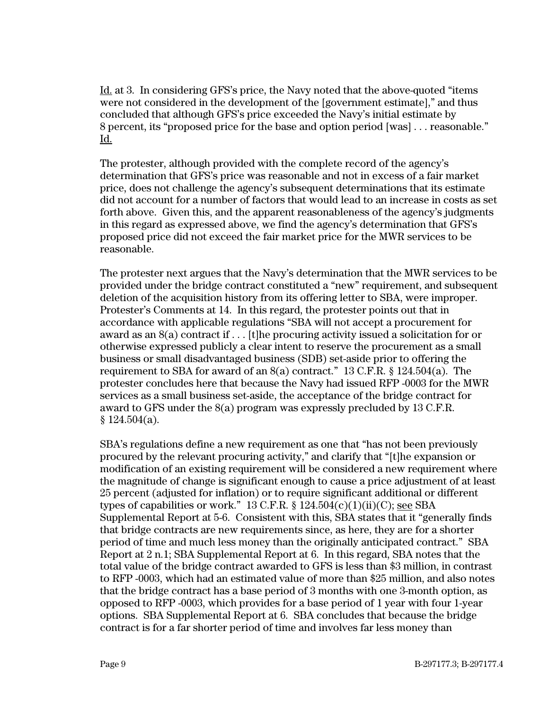Id. at 3. In considering GFS's price, the Navy noted that the above-quoted "items were not considered in the development of the [government estimate]," and thus concluded that although GFS's price exceeded the Navy's initial estimate by 8 percent, its "proposed price for the base and option period [was] . . . reasonable." Id.

The protester, although provided with the complete record of the agency's determination that GFS's price was reasonable and not in excess of a fair market price, does not challenge the agency's subsequent determinations that its estimate did not account for a number of factors that would lead to an increase in costs as set forth above. Given this, and the apparent reasonableness of the agency's judgments in this regard as expressed above, we find the agency's determination that GFS's proposed price did not exceed the fair market price for the MWR services to be reasonable.

The protester next argues that the Navy's determination that the MWR services to be provided under the bridge contract constituted a "new" requirement, and subsequent deletion of the acquisition history from its offering letter to SBA, were improper. Protester's Comments at 14. In this regard, the protester points out that in accordance with applicable regulations "SBA will not accept a procurement for award as an 8(a) contract if . . . [t]he procuring activity issued a solicitation for or otherwise expressed publicly a clear intent to reserve the procurement as a small business or small disadvantaged business (SDB) set-aside prior to offering the requirement to SBA for award of an 8(a) contract." 13 C.F.R. § 124.504(a). The protester concludes here that because the Navy had issued RFP -0003 for the MWR services as a small business set-aside, the acceptance of the bridge contract for award to GFS under the 8(a) program was expressly precluded by 13 C.F.R.  $$124.504(a).$ 

SBA's regulations define a new requirement as one that "has not been previously procured by the relevant procuring activity," and clarify that "[t]he expansion or modification of an existing requirement will be considered a new requirement where the magnitude of change is significant enough to cause a price adjustment of at least 25 percent (adjusted for inflation) or to require significant additional or different types of capabilities or work." 13 C.F.R.  $\S$  124.504(c)(1)(ii)(C); see SBA Supplemental Report at 5-6. Consistent with this, SBA states that it "generally finds that bridge contracts are new requirements since, as here, they are for a shorter period of time and much less money than the originally anticipated contract." SBA Report at 2 n.1; SBA Supplemental Report at 6. In this regard, SBA notes that the total value of the bridge contract awarded to GFS is less than \$3 million, in contrast to RFP -0003, which had an estimated value of more than \$25 million, and also notes that the bridge contract has a base period of 3 months with one 3-month option, as opposed to RFP -0003, which provides for a base period of 1 year with four 1-year options. SBA Supplemental Report at 6. SBA concludes that because the bridge contract is for a far shorter period of time and involves far less money than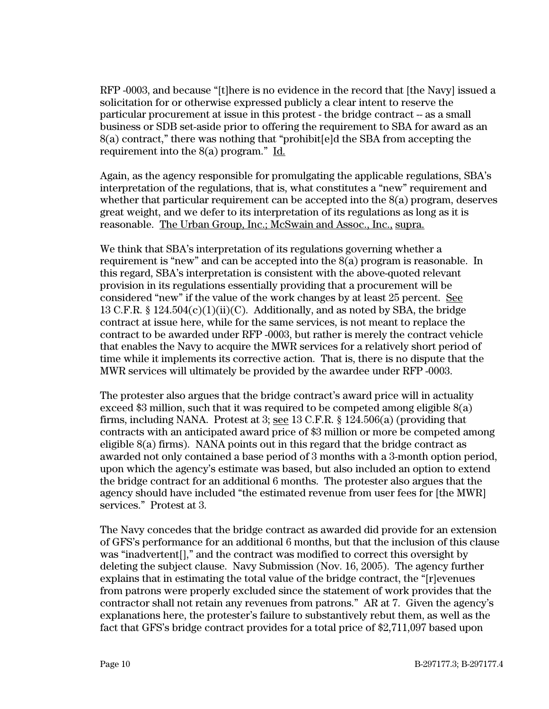RFP -0003, and because "[t]here is no evidence in the record that [the Navy] issued a solicitation for or otherwise expressed publicly a clear intent to reserve the particular procurement at issue in this protest - the bridge contract -- as a small business or SDB set-aside prior to offering the requirement to SBA for award as an 8(a) contract," there was nothing that "prohibit[e]d the SBA from accepting the requirement into the 8(a) program." Id.

Again, as the agency responsible for promulgating the applicable regulations, SBA's interpretation of the regulations, that is, what constitutes a "new" requirement and whether that particular requirement can be accepted into the 8(a) program, deserves great weight, and we defer to its interpretation of its regulations as long as it is reasonable. The Urban Group, Inc.; McSwain and Assoc., Inc., supra.

We think that SBA's interpretation of its regulations governing whether a requirement is "new" and can be accepted into the 8(a) program is reasonable. In this regard, SBA's interpretation is consistent with the above-quoted relevant provision in its regulations essentially providing that a procurement will be considered "new" if the value of the work changes by at least 25 percent. See 13 C.F.R. §  $124.504(c)(1)(ii)(C)$ . Additionally, and as noted by SBA, the bridge contract at issue here, while for the same services, is not meant to replace the contract to be awarded under RFP -0003, but rather is merely the contract vehicle that enables the Navy to acquire the MWR services for a relatively short period of time while it implements its corrective action. That is, there is no dispute that the MWR services will ultimately be provided by the awardee under RFP -0003.

The protester also argues that the bridge contract's award price will in actuality exceed \$3 million, such that it was required to be competed among eligible 8(a) firms, including NANA. Protest at 3; see 13 C.F.R. § 124.506(a) (providing that contracts with an anticipated award price of \$3 million or more be competed among eligible 8(a) firms). NANA points out in this regard that the bridge contract as awarded not only contained a base period of 3 months with a 3-month option period, upon which the agency's estimate was based, but also included an option to extend the bridge contract for an additional 6 months. The protester also argues that the agency should have included "the estimated revenue from user fees for [the MWR] services." Protest at 3.

The Navy concedes that the bridge contract as awarded did provide for an extension of GFS's performance for an additional 6 months, but that the inclusion of this clause was "inadvertent[]," and the contract was modified to correct this oversight by deleting the subject clause. Navy Submission (Nov. 16, 2005). The agency further explains that in estimating the total value of the bridge contract, the "[r]evenues from patrons were properly excluded since the statement of work provides that the contractor shall not retain any revenues from patrons." AR at 7. Given the agency's explanations here, the protester's failure to substantively rebut them, as well as the fact that GFS's bridge contract provides for a total price of \$2,711,097 based upon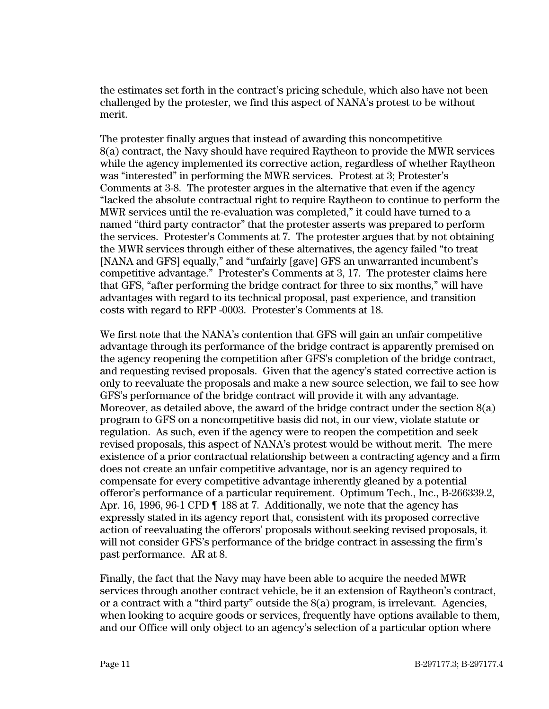the estimates set forth in the contract's pricing schedule, which also have not been challenged by the protester, we find this aspect of NANA's protest to be without merit.

The protester finally argues that instead of awarding this noncompetitive 8(a) contract, the Navy should have required Raytheon to provide the MWR services while the agency implemented its corrective action, regardless of whether Raytheon was "interested" in performing the MWR services. Protest at 3; Protester's Comments at 3-8. The protester argues in the alternative that even if the agency "lacked the absolute contractual right to require Raytheon to continue to perform the MWR services until the re-evaluation was completed," it could have turned to a named "third party contractor" that the protester asserts was prepared to perform the services. Protester's Comments at 7. The protester argues that by not obtaining the MWR services through either of these alternatives, the agency failed "to treat [NANA and GFS] equally," and "unfairly [gave] GFS an unwarranted incumbent's competitive advantage." Protester's Comments at 3, 17. The protester claims here that GFS, "after performing the bridge contract for three to six months," will have advantages with regard to its technical proposal, past experience, and transition costs with regard to RFP -0003. Protester's Comments at 18.

We first note that the NANA's contention that GFS will gain an unfair competitive advantage through its performance of the bridge contract is apparently premised on the agency reopening the competition after GFS's completion of the bridge contract, and requesting revised proposals. Given that the agency's stated corrective action is only to reevaluate the proposals and make a new source selection, we fail to see how GFS's performance of the bridge contract will provide it with any advantage. Moreover, as detailed above, the award of the bridge contract under the section  $8(a)$ program to GFS on a noncompetitive basis did not, in our view, violate statute or regulation. As such, even if the agency were to reopen the competition and seek revised proposals, this aspect of NANA's protest would be without merit. The mere existence of a prior contractual relationship between a contracting agency and a firm does not create an unfair competitive advantage, nor is an agency required to compensate for every competitive advantage inherently gleaned by a potential offeror's performance of a particular requirement. Optimum Tech., Inc., B-266339.2, Apr. 16, 1996, 96-1 CPD ¶ 188 at 7. Additionally, we note that the agency has expressly stated in its agency report that, consistent with its proposed corrective action of reevaluating the offerors' proposals without seeking revised proposals, it will not consider GFS's performance of the bridge contract in assessing the firm's past performance. AR at 8.

Finally, the fact that the Navy may have been able to acquire the needed MWR services through another contract vehicle, be it an extension of Raytheon's contract, or a contract with a "third party" outside the  $S(a)$  program, is irrelevant. Agencies, when looking to acquire goods or services, frequently have options available to them, and our Office will only object to an agency's selection of a particular option where